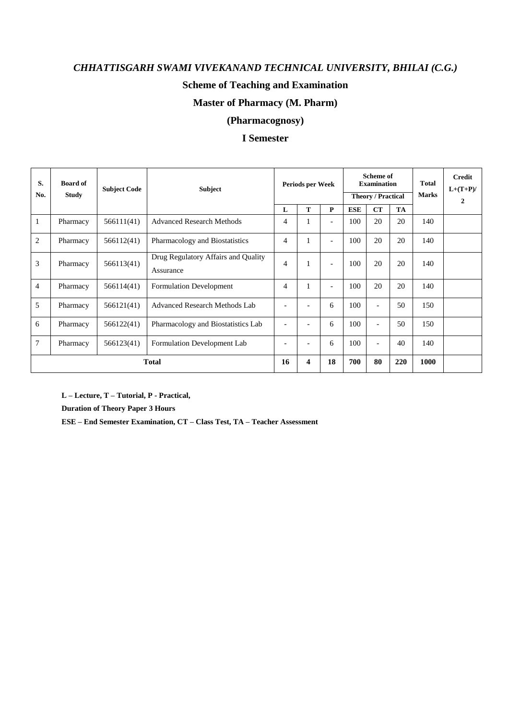### **Scheme of Teaching and Examination**

### **Master of Pharmacy (M. Pharm)**

### **(Pharmacognosy)**

### **I Semester**

| S.<br>No.      | <b>Board of</b><br><b>Study</b> | <b>Subject Code</b> | <b>Subject</b>                                   |                              | Periods per Week         |                          | Scheme of<br><b>Examination</b><br><b>Theory / Practical</b> |                          |     | <b>Total</b><br><b>Marks</b> | Credit<br>$L+(T+P)/$<br>$\boldsymbol{2}$ |
|----------------|---------------------------------|---------------------|--------------------------------------------------|------------------------------|--------------------------|--------------------------|--------------------------------------------------------------|--------------------------|-----|------------------------------|------------------------------------------|
|                |                                 |                     |                                                  | L                            | T                        | P                        | <b>ESE</b>                                                   | CT                       | TA  |                              |                                          |
| 1              | Pharmacy                        | 566111(41)          | <b>Advanced Research Methods</b>                 | $\overline{4}$               | 1                        | $\overline{\phantom{a}}$ | 100                                                          | 20                       | 20  | 140                          |                                          |
| $\overline{2}$ | Pharmacy                        | 566112(41)          | Pharmacology and Biostatistics                   | $\overline{4}$               | 1                        | $\blacksquare$           | 100                                                          | 20                       | 20  | 140                          |                                          |
| 3              | Pharmacy                        | 566113(41)          | Drug Regulatory Affairs and Quality<br>Assurance | $\overline{4}$               | 1                        | $\overline{a}$           | 100                                                          | 20                       | 20  | 140                          |                                          |
| $\overline{4}$ | Pharmacy                        | 566114(41)          | <b>Formulation Development</b>                   | $\overline{4}$               | 1                        | $\overline{\phantom{0}}$ | 100                                                          | 20                       | 20  | 140                          |                                          |
| 5              | Pharmacy                        | 566121(41)          | Advanced Research Methods Lab                    | $\qquad \qquad \blacksquare$ |                          | 6                        | 100                                                          | $\overline{\phantom{a}}$ | 50  | 150                          |                                          |
| 6              | Pharmacy                        | 566122(41)          | Pharmacology and Biostatistics Lab               | $\overline{\phantom{0}}$     | $\overline{\phantom{a}}$ | 6                        | 100                                                          | $\overline{\phantom{a}}$ | 50  | 150                          |                                          |
| 7              | Pharmacy                        | 566123(41)          | Formulation Development Lab                      | $\qquad \qquad \blacksquare$ | $\overline{\phantom{a}}$ | 6                        | 100                                                          | $\overline{\phantom{a}}$ | 40  | 140                          |                                          |
|                | <b>Total</b>                    |                     |                                                  |                              |                          | 18                       | 700                                                          | 80                       | 220 | 1000                         |                                          |

**L – Lecture, T – Tutorial, P - Practical,** 

**Duration of Theory Paper 3 Hours** 

**ESE – End Semester Examination, CT – Class Test, TA – Teacher Assessment**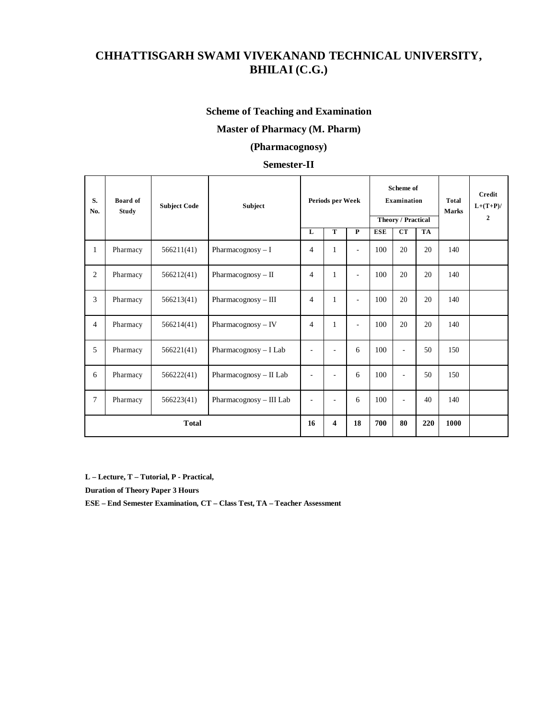### **Scheme of Teaching and Examination**

### **Master of Pharmacy (M. Pharm)**

### **(Pharmacognosy)**

### **Semester-II**

| S.<br>No.      | Board of<br><b>Study</b> | <b>Subject Code</b> | Subject                  |                          | Periods per Week |                          |            | Scheme of<br>Examination<br><b>Theory / Practical</b> |           |      | Credit<br>$L+(T+P)/$<br>$\mathbf{2}$ |
|----------------|--------------------------|---------------------|--------------------------|--------------------------|------------------|--------------------------|------------|-------------------------------------------------------|-----------|------|--------------------------------------|
|                |                          |                     |                          | L                        | T                | $\overline{\mathbf{P}}$  | <b>ESE</b> | CT                                                    | <b>TA</b> |      |                                      |
| 1              | Pharmacy                 | 566211(41)          | Pharmacognosy $-I$       | $\overline{4}$           | $\mathbf{1}$     | ÷                        | 100        | 20                                                    | 20        | 140  |                                      |
| $\overline{2}$ | Pharmacy                 | 566212(41)          | Pharmacognosy $-$ II     | $\overline{4}$           | $\mathbf{1}$     | ÷.                       | 100        | 20                                                    | 20        | 140  |                                      |
| $\overline{3}$ | Pharmacy                 | 566213(41)          | Pharmacognosy - III      | $\overline{4}$           | $\mathbf{1}$     | $\overline{\phantom{a}}$ | 100        | 20                                                    | 20        | 140  |                                      |
| $\overline{4}$ | Pharmacy                 | 566214(41)          | Pharmacognosy $-$ IV     | $\overline{4}$           | $\mathbf{1}$     | $\overline{\phantom{a}}$ | 100        | 20                                                    | 20        | 140  |                                      |
| 5              | Pharmacy                 | 566221(41)          | Pharmacognosy $- I$ Lab  | ÷,                       | ٠                | 6                        | 100        | L.                                                    | 50        | 150  |                                      |
| 6              | Pharmacy                 | 566222(41)          | Pharmacognosy $-$ II Lab | $\overline{\phantom{a}}$ | ٠                | 6                        | 100        | L.                                                    | 50        | 150  |                                      |
| $\tau$         | Pharmacy                 | 566223(41)          | Pharmacognosy - III Lab  |                          | ٠                | 6                        | 100        | L.                                                    | 40        | 140  |                                      |
|                | <b>Total</b>             |                     |                          |                          | 4                | 18                       | 700        | 80                                                    | 220       | 1000 |                                      |

**L – Lecture, T – Tutorial, P - Practical,**

**Duration of Theory Paper 3 Hours**

**ESE – End Semester Examination, CT – Class Test, TA – Teacher Assessment**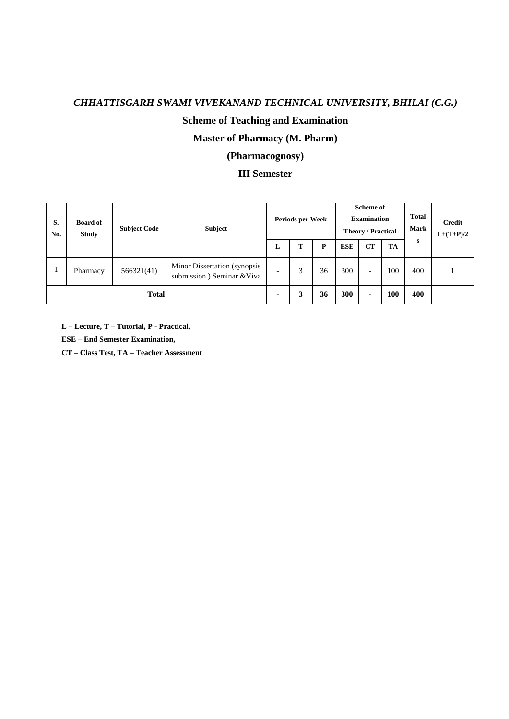# **Scheme of Teaching and Examination**

# **Master of Pharmacy (M. Pharm)**

# **(Pharmacognosy)**

### **III Semester**

| S.<br>No.    | <b>Board of</b><br><b>Study</b> | <b>Subject Code</b> | <b>Subject</b>                                             |                          | Periods per Week |    | Scheme of<br><b>Examination</b><br><b>Theory / Practical</b> |                          |     | <b>Total</b><br><b>Mark</b> | <b>Credit</b><br>$L+(T+P)/2$ |
|--------------|---------------------------------|---------------------|------------------------------------------------------------|--------------------------|------------------|----|--------------------------------------------------------------|--------------------------|-----|-----------------------------|------------------------------|
|              |                                 |                     |                                                            | L                        | т                | P  | <b>ESE</b>                                                   | CT                       | TA  | s                           |                              |
|              | Pharmacy                        | 566321(41)          | Minor Dissertation (synopsis<br>submission) Seminar & Viva | $\overline{\phantom{0}}$ | 3                | 36 | 300                                                          | $\overline{\phantom{0}}$ | 100 | 400                         |                              |
| <b>Total</b> |                                 |                     |                                                            | ۰                        | 3                | 36 | 300                                                          | ٠                        | 100 | 400                         |                              |

**L – Lecture, T – Tutorial, P - Practical,** 

**ESE – End Semester Examination,** 

**CT – Class Test, TA – Teacher Assessment**